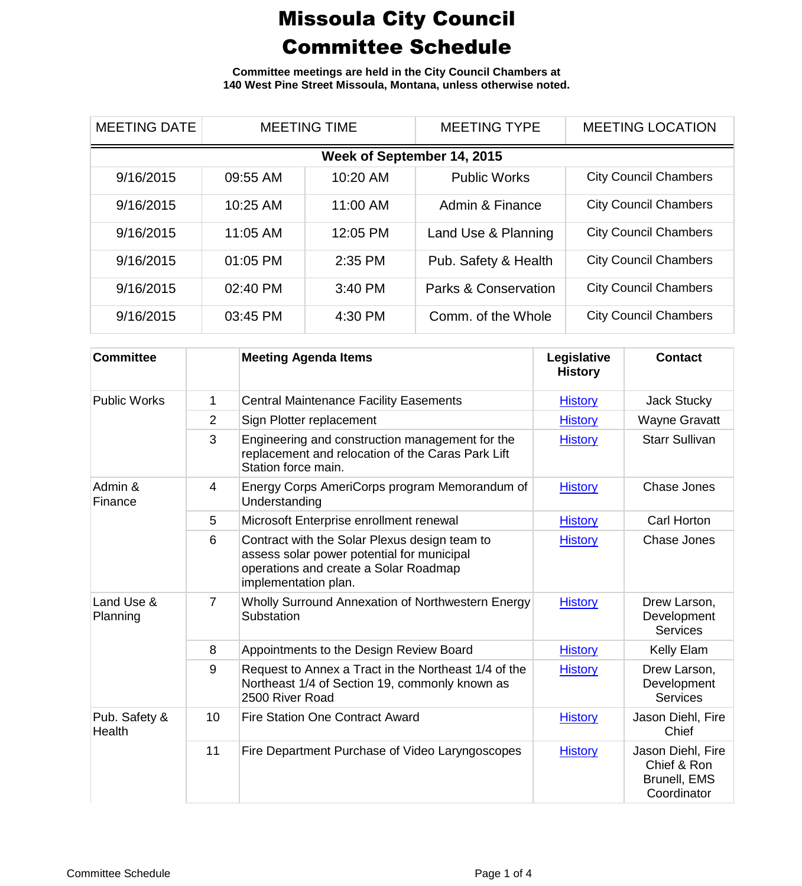**Committee meetings are held in the City Council Chambers at 140 West Pine Street Missoula, Montana, unless otherwise noted.**

| <b>MEETING DATE</b>        | <b>MEETING TIME</b> |           | <b>MEETING TYPE</b>  | <b>MEETING LOCATION</b>      |  |  |
|----------------------------|---------------------|-----------|----------------------|------------------------------|--|--|
| Week of September 14, 2015 |                     |           |                      |                              |  |  |
| 9/16/2015                  | 09:55 AM            | 10:20 AM  | <b>Public Works</b>  | <b>City Council Chambers</b> |  |  |
| 9/16/2015                  | 10:25 AM            | 11:00 AM  | Admin & Finance      | <b>City Council Chambers</b> |  |  |
| 9/16/2015                  | 11:05 AM            | 12:05 PM  | Land Use & Planning  | <b>City Council Chambers</b> |  |  |
| 9/16/2015                  | 01:05 PM            | $2:35$ PM | Pub. Safety & Health | <b>City Council Chambers</b> |  |  |
| 9/16/2015                  | 02:40 PM            | 3:40 PM   | Parks & Conservation | <b>City Council Chambers</b> |  |  |
| 9/16/2015                  | 03:45 PM            | 4:30 PM   | Comm. of the Whole   | <b>City Council Chambers</b> |  |  |

| <b>Committee</b>               |                | <b>Meeting Agenda Items</b>                                                                                                                                  | Legislative<br><b>History</b> | <b>Contact</b>                                                  |
|--------------------------------|----------------|--------------------------------------------------------------------------------------------------------------------------------------------------------------|-------------------------------|-----------------------------------------------------------------|
| <b>Public Works</b>            | 1              | <b>Central Maintenance Facility Easements</b>                                                                                                                | <b>History</b>                | <b>Jack Stucky</b>                                              |
|                                | 2              | Sign Plotter replacement                                                                                                                                     | <b>History</b>                | <b>Wayne Gravatt</b>                                            |
|                                | 3              | Engineering and construction management for the<br>replacement and relocation of the Caras Park Lift<br>Station force main.                                  | <b>History</b>                | <b>Starr Sullivan</b>                                           |
| Admin &<br>Finance             | 4              | Energy Corps AmeriCorps program Memorandum of<br>Understanding                                                                                               | <b>History</b>                | Chase Jones                                                     |
|                                | 5              | Microsoft Enterprise enrollment renewal                                                                                                                      | <b>History</b>                | Carl Horton                                                     |
|                                | 6              | Contract with the Solar Plexus design team to<br>assess solar power potential for municipal<br>operations and create a Solar Roadmap<br>implementation plan. | <b>History</b>                | Chase Jones                                                     |
| Land Use &<br>Planning         | $\overline{7}$ | Wholly Surround Annexation of Northwestern Energy<br>Substation                                                                                              | <b>History</b>                | Drew Larson,<br>Development<br><b>Services</b>                  |
|                                | 8              | Appointments to the Design Review Board                                                                                                                      | <b>History</b>                | Kelly Elam                                                      |
|                                | 9              | Request to Annex a Tract in the Northeast 1/4 of the<br>Northeast 1/4 of Section 19, commonly known as<br>2500 River Road                                    | <b>History</b>                | Drew Larson,<br>Development<br><b>Services</b>                  |
| Pub. Safety &<br><b>Health</b> | 10             | <b>Fire Station One Contract Award</b>                                                                                                                       | <b>History</b>                | Jason Diehl, Fire<br>Chief                                      |
|                                | 11             | Fire Department Purchase of Video Laryngoscopes                                                                                                              | <b>History</b>                | Jason Diehl, Fire<br>Chief & Ron<br>Brunell, EMS<br>Coordinator |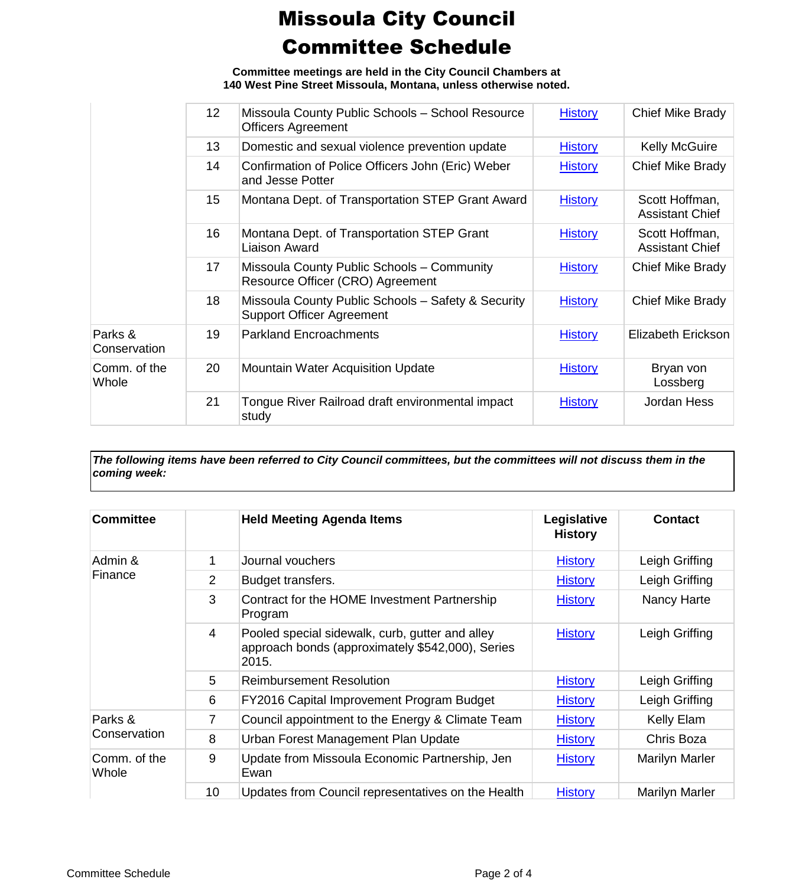**Committee meetings are held in the City Council Chambers at 140 West Pine Street Missoula, Montana, unless otherwise noted.**

|                         | 12 <sup>2</sup> | Missoula County Public Schools - School Resource<br><b>Officers Agreement</b>          | <b>History</b> | Chief Mike Brady                         |
|-------------------------|-----------------|----------------------------------------------------------------------------------------|----------------|------------------------------------------|
|                         | 13              | Domestic and sexual violence prevention update                                         | <b>History</b> | <b>Kelly McGuire</b>                     |
|                         | 14              | Confirmation of Police Officers John (Eric) Weber<br>and Jesse Potter                  | <b>History</b> | Chief Mike Brady                         |
|                         | 15              | Montana Dept. of Transportation STEP Grant Award                                       | <b>History</b> | Scott Hoffman,<br><b>Assistant Chief</b> |
|                         | 16              | Montana Dept. of Transportation STEP Grant<br>Liaison Award                            | <b>History</b> | Scott Hoffman,<br><b>Assistant Chief</b> |
|                         | 17              | Missoula County Public Schools - Community<br>Resource Officer (CRO) Agreement         | <b>History</b> | Chief Mike Brady                         |
|                         | 18              | Missoula County Public Schools - Safety & Security<br><b>Support Officer Agreement</b> | <b>History</b> | Chief Mike Brady                         |
| Parks &<br>Conservation | 19              | <b>Parkland Encroachments</b>                                                          | <b>History</b> | Elizabeth Erickson                       |
| Comm. of the<br>Whole   | 20              | <b>Mountain Water Acquisition Update</b>                                               | <b>History</b> | Bryan von<br>Lossberg                    |
|                         | 21              | Tongue River Railroad draft environmental impact<br>study                              | <b>History</b> | Jordan Hess                              |
|                         |                 |                                                                                        |                |                                          |

*The following items have been referred to City Council committees, but the committees will not discuss them in the coming week:*

| <b>Committee</b>        |                | <b>Held Meeting Agenda Items</b>                                                                             | Legislative<br><b>History</b> | <b>Contact</b> |
|-------------------------|----------------|--------------------------------------------------------------------------------------------------------------|-------------------------------|----------------|
| Admin &<br>Finance      | 1              | Journal vouchers                                                                                             | <b>History</b>                | Leigh Griffing |
|                         | 2              | Budget transfers.                                                                                            | <b>History</b>                | Leigh Griffing |
|                         | 3              | Contract for the HOME Investment Partnership<br>Program                                                      | <b>History</b>                | Nancy Harte    |
|                         | $\overline{4}$ | Pooled special sidewalk, curb, gutter and alley<br>approach bonds (approximately \$542,000), Series<br>2015. | <b>History</b>                | Leigh Griffing |
|                         | 5              | <b>Reimbursement Resolution</b>                                                                              | <b>History</b>                | Leigh Griffing |
|                         | 6              | FY2016 Capital Improvement Program Budget                                                                    | <b>History</b>                | Leigh Griffing |
| Parks &<br>Conservation | 7              | Council appointment to the Energy & Climate Team                                                             | <b>History</b>                | Kelly Elam     |
|                         | 8              | Urban Forest Management Plan Update                                                                          | <b>History</b>                | Chris Boza     |
| Comm. of the<br>Whole   | 9              | Update from Missoula Economic Partnership, Jen<br>Ewan                                                       | <b>History</b>                | Marilyn Marler |
|                         | 10             | Updates from Council representatives on the Health                                                           | <b>History</b>                | Marilyn Marler |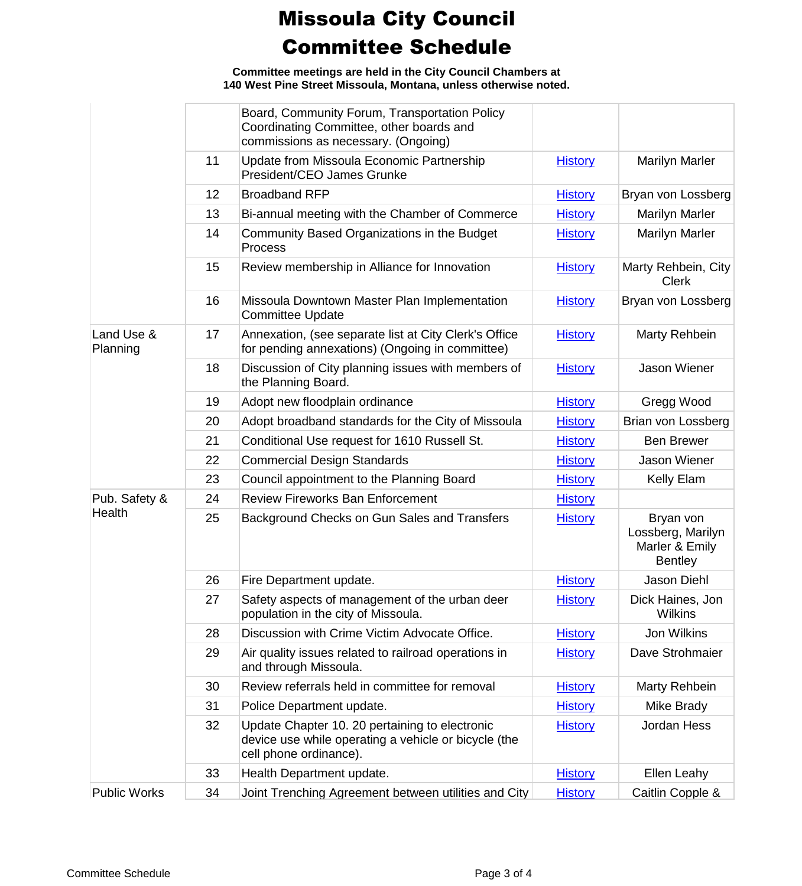**Committee meetings are held in the City Council Chambers at 140 West Pine Street Missoula, Montana, unless otherwise noted.**

|                        |    | Board, Community Forum, Transportation Policy<br>Coordinating Committee, other boards and<br>commissions as necessary. (Ongoing) |                |                                                                    |
|------------------------|----|----------------------------------------------------------------------------------------------------------------------------------|----------------|--------------------------------------------------------------------|
|                        | 11 | Update from Missoula Economic Partnership<br>President/CEO James Grunke                                                          | <b>History</b> | <b>Marilyn Marler</b>                                              |
|                        | 12 | <b>Broadband RFP</b>                                                                                                             | <b>History</b> | Bryan von Lossberg                                                 |
|                        | 13 | Bi-annual meeting with the Chamber of Commerce                                                                                   | <b>History</b> | Marilyn Marler                                                     |
|                        | 14 | Community Based Organizations in the Budget<br><b>Process</b>                                                                    | <b>History</b> | <b>Marilyn Marler</b>                                              |
|                        | 15 | Review membership in Alliance for Innovation                                                                                     | <b>History</b> | Marty Rehbein, City<br><b>Clerk</b>                                |
|                        | 16 | Missoula Downtown Master Plan Implementation<br><b>Committee Update</b>                                                          | <b>History</b> | Bryan von Lossberg                                                 |
| Land Use &<br>Planning | 17 | Annexation, (see separate list at City Clerk's Office<br>for pending annexations) (Ongoing in committee)                         | <b>History</b> | Marty Rehbein                                                      |
|                        | 18 | Discussion of City planning issues with members of<br>the Planning Board.                                                        | <b>History</b> | Jason Wiener                                                       |
|                        | 19 | Adopt new floodplain ordinance                                                                                                   | <b>History</b> | Gregg Wood                                                         |
|                        | 20 | Adopt broadband standards for the City of Missoula                                                                               | <b>History</b> | Brian von Lossberg                                                 |
|                        | 21 | Conditional Use request for 1610 Russell St.                                                                                     | <b>History</b> | <b>Ben Brewer</b>                                                  |
|                        | 22 | <b>Commercial Design Standards</b>                                                                                               | <b>History</b> | Jason Wiener                                                       |
|                        | 23 | Council appointment to the Planning Board                                                                                        | <b>History</b> | Kelly Elam                                                         |
| Pub. Safety &          | 24 | <b>Review Fireworks Ban Enforcement</b>                                                                                          | <b>History</b> |                                                                    |
| Health                 | 25 | Background Checks on Gun Sales and Transfers                                                                                     | <b>History</b> | Bryan von<br>Lossberg, Marilyn<br>Marler & Emily<br><b>Bentley</b> |
|                        | 26 | Fire Department update.                                                                                                          | <b>History</b> | Jason Diehl                                                        |
|                        | 27 | Safety aspects of management of the urban deer<br>population in the city of Missoula.                                            | <b>History</b> | Dick Haines, Jon<br><b>Wilkins</b>                                 |
|                        | 28 | Discussion with Crime Victim Advocate Office.                                                                                    | <b>History</b> | Jon Wilkins                                                        |
|                        | 29 | Air quality issues related to railroad operations in<br>and through Missoula.                                                    | <b>History</b> | Dave Strohmaier                                                    |
|                        | 30 | Review referrals held in committee for removal                                                                                   | <b>History</b> | Marty Rehbein                                                      |
|                        | 31 | Police Department update.                                                                                                        | <b>History</b> | Mike Brady                                                         |
|                        | 32 | Update Chapter 10. 20 pertaining to electronic<br>device use while operating a vehicle or bicycle (the<br>cell phone ordinance). | <b>History</b> | Jordan Hess                                                        |
|                        | 33 | Health Department update.                                                                                                        | <b>History</b> | Ellen Leahy                                                        |
| <b>Public Works</b>    | 34 | Joint Trenching Agreement between utilities and City                                                                             | <b>History</b> | Caitlin Copple &                                                   |